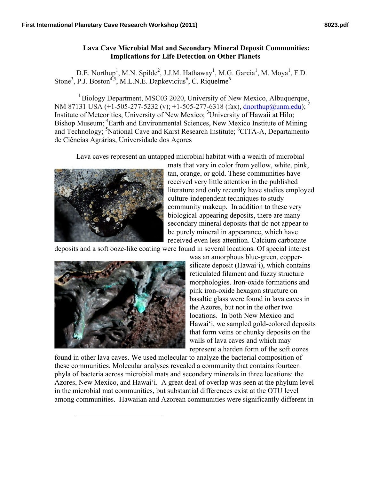## **Lava Cave Microbial Mat and Secondary Mineral Deposit Communities: Implications for Life Detection on Other Planets**

D.E. Northup<sup>1</sup>, M.N. Spilde<sup>2</sup>, J.J.M. Hathaway<sup>1</sup>, M.G. Garcia<sup>1</sup>, M. Moya<sup>1</sup>, F.D. Stone<sup>3</sup>, P.J. Boston<sup>4,5</sup>, M.L.N.E. Dapkevicius<sup>6</sup>, C. Riquelme<sup>6</sup>

<sup>1</sup> Biology Department, MSC03 2020, University of New Mexico, Albuquerque, NM 87131 USA (+1-505-277-5232 (v); +1-505-277-6318 (fax), dnorthup@unm.edu); Institute of Meteoritics, University of New Mexico; <sup>3</sup>University of Hawaii at Hilo; Bishop Museum; <sup>4</sup>Earth and Environmental Sciences, New Mexico Institute of Mining and Technology; <sup>5</sup>National Cave and Karst Research Institute; <sup>6</sup>CITA-A, Departamento de Ciências Agrárias, Universidade dos Açores

Lava caves represent an untapped microbial habitat with a wealth of microbial



mats that vary in color from yellow, white, pink, tan, orange, or gold. These communities have received very little attention in the published literature and only recently have studies employed culture-independent techniques to study community makeup. In addition to these very biological-appearing deposits, there are many secondary mineral deposits that do not appear to be purely mineral in appearance, which have received even less attention. Calcium carbonate

deposits and a soft ooze-like coating were found in several locations. Of special interest



 $\overline{a}$ 

was an amorphous blue-green, coppersilicate deposit (Hawai'i), which contains reticulated filament and fuzzy structure morphologies. Iron-oxide formations and pink iron-oxide hexagon structure on basaltic glass were found in lava caves in the Azores, but not in the other two locations. In both New Mexico and Hawai'i, we sampled gold-colored deposits that form veins or chunky deposits on the walls of lava caves and which may represent a harden form of the soft oozes

found in other lava caves. We used molecular to analyze the bacterial composition of these communities. Molecular analyses revealed a community that contains fourteen phyla of bacteria across microbial mats and secondary minerals in three locations: the Azores, New Mexico, and Hawai'i. A great deal of overlap was seen at the phylum level in the microbial mat communities, but substantial differences exist at the OTU level among communities. Hawaiian and Azorean communities were significantly different in